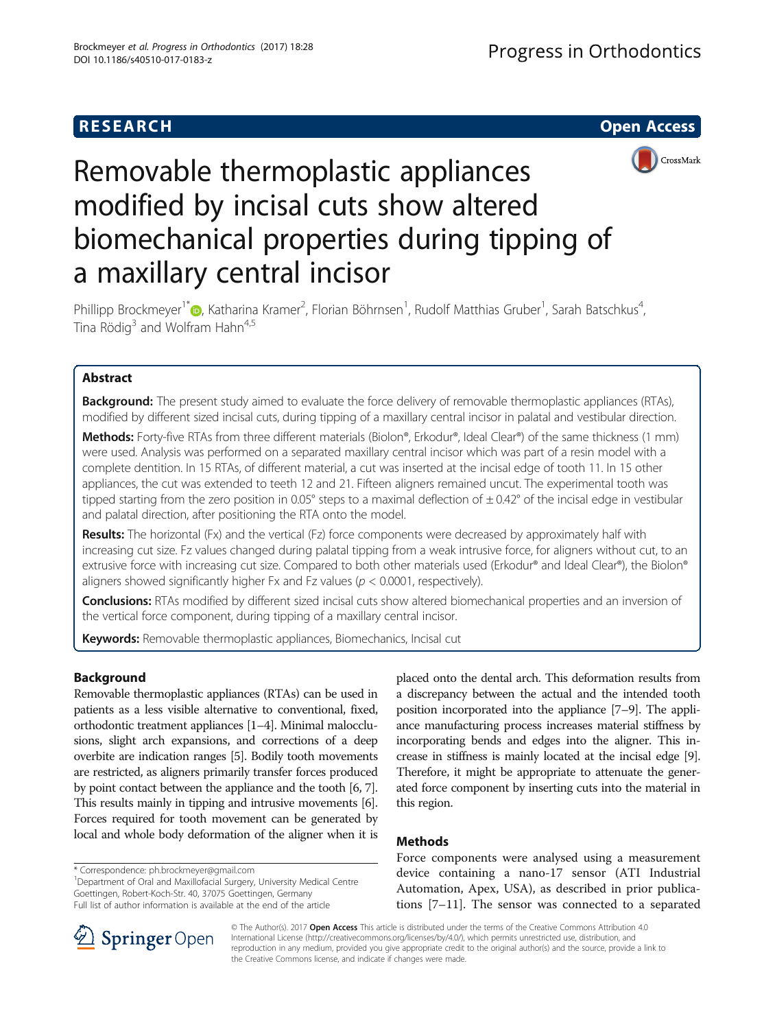**RESEARCH CHE Open Access** 



# Removable thermoplastic appliances modified by incisal cuts show altered biomechanical properties during tipping of a maxillary central incisor

Phillipp Brockmeyer<sup>1[\\*](http://orcid.org/0000-0003-3694-2828)</sup>D, Katharina Kramer<sup>2</sup>, Florian Böhrnsen<sup>1</sup>, Rudolf Matthias Gruber<sup>1</sup>, Sarah Batschkus<sup>4</sup> , Tina Rödig<sup>3</sup> and Wolfram Hahn<sup>4,5</sup>

# Abstract

**Background:** The present study aimed to evaluate the force delivery of removable thermoplastic appliances (RTAs), modified by different sized incisal cuts, during tipping of a maxillary central incisor in palatal and vestibular direction.

Methods: Forty-five RTAs from three different materials (Biolon®, Erkodur®, Ideal Clear®) of the same thickness (1 mm) were used. Analysis was performed on a separated maxillary central incisor which was part of a resin model with a complete dentition. In 15 RTAs, of different material, a cut was inserted at the incisal edge of tooth 11. In 15 other appliances, the cut was extended to teeth 12 and 21. Fifteen aligners remained uncut. The experimental tooth was tipped starting from the zero position in 0.05° steps to a maximal deflection of  $\pm$  0.42° of the incisal edge in vestibular and palatal direction, after positioning the RTA onto the model.

Results: The horizontal (Fx) and the vertical (Fz) force components were decreased by approximately half with increasing cut size. Fz values changed during palatal tipping from a weak intrusive force, for aligners without cut, to an extrusive force with increasing cut size. Compared to both other materials used (Erkodur® and Ideal Clear®), the Biolon® aligners showed significantly higher Fx and Fz values ( $p < 0.0001$ , respectively).

Conclusions: RTAs modified by different sized incisal cuts show altered biomechanical properties and an inversion of the vertical force component, during tipping of a maxillary central incisor.

Keywords: Removable thermoplastic appliances, Biomechanics, Incisal cut

# Background

Removable thermoplastic appliances (RTAs) can be used in patients as a less visible alternative to conventional, fixed, orthodontic treatment appliances [[1](#page-5-0)–[4\]](#page-6-0). Minimal malocclusions, slight arch expansions, and corrections of a deep overbite are indication ranges [\[5\]](#page-6-0). Bodily tooth movements are restricted, as aligners primarily transfer forces produced by point contact between the appliance and the tooth [\[6](#page-6-0), [7](#page-6-0)]. This results mainly in tipping and intrusive movements [[6](#page-6-0)]. Forces required for tooth movement can be generated by local and whole body deformation of the aligner when it is

<sup>1</sup>Department of Oral and Maxillofacial Surgery, University Medical Centre Goettingen, Robert-Koch-Str. 40, 37075 Goettingen, Germany Full list of author information is available at the end of the article

placed onto the dental arch. This deformation results from a discrepancy between the actual and the intended tooth position incorporated into the appliance [[7](#page-6-0)–[9\]](#page-6-0). The appliance manufacturing process increases material stiffness by incorporating bends and edges into the aligner. This increase in stiffness is mainly located at the incisal edge [[9](#page-6-0)]. Therefore, it might be appropriate to attenuate the generated force component by inserting cuts into the material in this region.

# Methods

Force components were analysed using a measurement device containing a nano-17 sensor (ATI Industrial Automation, Apex, USA), as described in prior publications [\[7](#page-6-0)–[11\]](#page-6-0). The sensor was connected to a separated



© The Author(s). 2017 **Open Access** This article is distributed under the terms of the Creative Commons Attribution 4.0 International License ([http://creativecommons.org/licenses/by/4.0/\)](http://creativecommons.org/licenses/by/4.0/), which permits unrestricted use, distribution, and reproduction in any medium, provided you give appropriate credit to the original author(s) and the source, provide a link to the Creative Commons license, and indicate if changes were made.

<sup>\*</sup> Correspondence: [ph.brockmeyer@gmail.com](mailto:ph.brockmeyer@gmail.com) <sup>1</sup>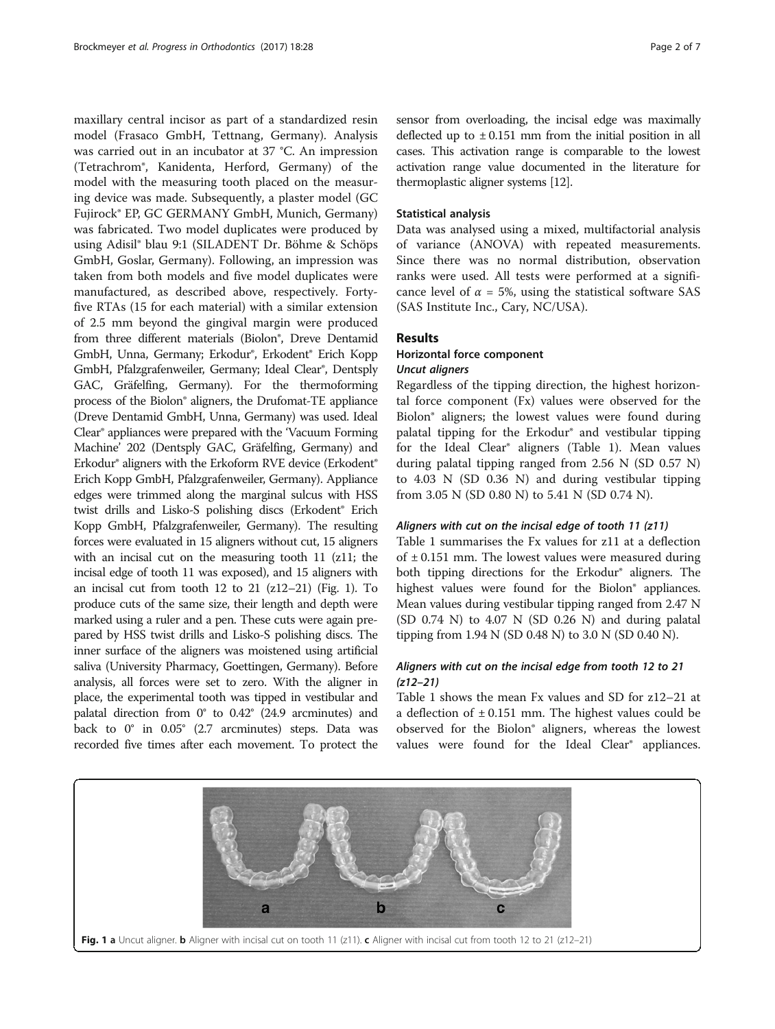maxillary central incisor as part of a standardized resin model (Frasaco GmbH, Tettnang, Germany). Analysis was carried out in an incubator at 37 °C. An impression (Tetrachrom®, Kanidenta, Herford, Germany) of the model with the measuring tooth placed on the measuring device was made. Subsequently, a plaster model (GC Fujirock® EP, GC GERMANY GmbH, Munich, Germany) was fabricated. Two model duplicates were produced by using Adisil® blau 9:1 (SILADENT Dr. Böhme & Schöps GmbH, Goslar, Germany). Following, an impression was taken from both models and five model duplicates were manufactured, as described above, respectively. Fortyfive RTAs (15 for each material) with a similar extension of 2.5 mm beyond the gingival margin were produced from three different materials (Biolon®, Dreve Dentamid GmbH, Unna, Germany; Erkodur®, Erkodent® Erich Kopp GmbH, Pfalzgrafenweiler, Germany; Ideal Clear®, Dentsply GAC, Gräfelfing, Germany). For the thermoforming process of the Biolon® aligners, the Drufomat-TE appliance (Dreve Dentamid GmbH, Unna, Germany) was used. Ideal Clear® appliances were prepared with the 'Vacuum Forming Machine' 202 (Dentsply GAC, Gräfelfing, Germany) and Erkodur® aligners with the Erkoform RVE device (Erkodent® Erich Kopp GmbH, Pfalzgrafenweiler, Germany). Appliance edges were trimmed along the marginal sulcus with HSS twist drills and Lisko-S polishing discs (Erkodent® Erich Kopp GmbH, Pfalzgrafenweiler, Germany). The resulting forces were evaluated in 15 aligners without cut, 15 aligners with an incisal cut on the measuring tooth 11 (z11; the incisal edge of tooth 11 was exposed), and 15 aligners with an incisal cut from tooth 12 to 21 (z12–21) (Fig. 1). To produce cuts of the same size, their length and depth were marked using a ruler and a pen. These cuts were again prepared by HSS twist drills and Lisko-S polishing discs. The inner surface of the aligners was moistened using artificial saliva (University Pharmacy, Goettingen, Germany). Before analysis, all forces were set to zero. With the aligner in place, the experimental tooth was tipped in vestibular and palatal direction from 0° to 0.42° (24.9 arcminutes) and back to 0° in 0.05° (2.7 arcminutes) steps. Data was recorded five times after each movement. To protect the sensor from overloading, the incisal edge was maximally deflected up to  $\pm$  0.151 mm from the initial position in all cases. This activation range is comparable to the lowest activation range value documented in the literature for thermoplastic aligner systems [[12](#page-6-0)].

#### Statistical analysis

Data was analysed using a mixed, multifactorial analysis of variance (ANOVA) with repeated measurements. Since there was no normal distribution, observation ranks were used. All tests were performed at a significance level of  $\alpha = 5\%$ , using the statistical software SAS (SAS Institute Inc., Cary, NC/USA).

# Results

# Horizontal force component Uncut aligners

Regardless of the tipping direction, the highest horizontal force component (Fx) values were observed for the Biolon® aligners; the lowest values were found during palatal tipping for the Erkodur® and vestibular tipping for the Ideal Clear® aligners (Table [1\)](#page-2-0). Mean values during palatal tipping ranged from 2.56 N (SD 0.57 N) to 4.03 N (SD 0.36 N) and during vestibular tipping from 3.05 N (SD 0.80 N) to 5.41 N (SD 0.74 N).

#### Aligners with cut on the incisal edge of tooth 11 (z11)

Table [1](#page-2-0) summarises the Fx values for z11 at a deflection of  $\pm$  0.151 mm. The lowest values were measured during both tipping directions for the Erkodur® aligners. The highest values were found for the Biolon® appliances. Mean values during vestibular tipping ranged from 2.47 N  $(SD 0.74 N)$  to  $4.07 N (SD 0.26 N)$  and during palatal tipping from 1.94 N (SD 0.48 N) to 3.0 N (SD 0.40 N).

# Aligners with cut on the incisal edge from tooth 12 to 21 (z12–21)

Table [1](#page-2-0) shows the mean Fx values and SD for z12–21 at a deflection of  $\pm$  0.151 mm. The highest values could be observed for the Biolon® aligners, whereas the lowest values were found for the Ideal Clear® appliances.

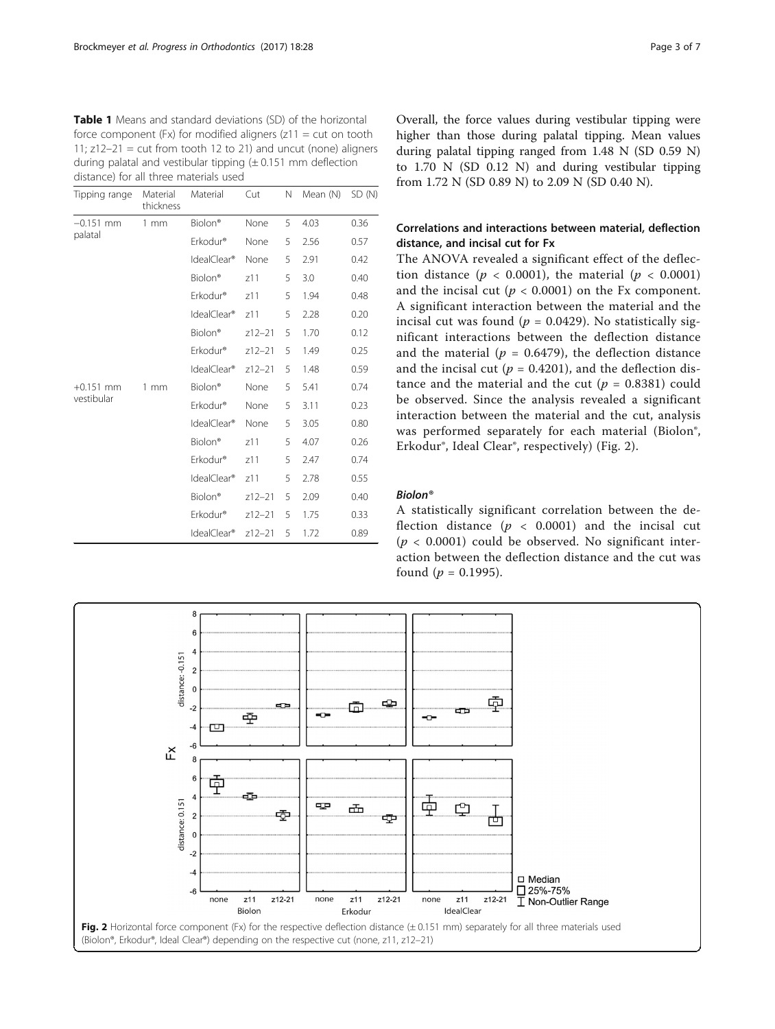<span id="page-2-0"></span>Table 1 Means and standard deviations (SD) of the horizontal force component (Fx) for modified aligners  $(z11) = c$ ut on tooth 11;  $z12-21$  = cut from tooth 12 to 21) and uncut (none) aligners during palatal and vestibular tipping  $(\pm 0.151 \text{ mm})$  deflection distance) for all three materials used

| Tipping range             | Material<br>thickness | Material             | Cut        | N. | Mean (N) | SD (N) |
|---------------------------|-----------------------|----------------------|------------|----|----------|--------|
| $-0.151$ mm<br>palatal    | $1 \text{ mm}$        | Biolon®              | None       | 5  | 4.03     | 0.36   |
|                           |                       | Erkodur®             | None       | 5  | 2.56     | 0.57   |
|                           |                       | IdealClear®          | None       | 5  | 2.91     | 0.42   |
|                           |                       | Biolon <sup>®</sup>  | z11        | 5  | 3.0      | 0.40   |
|                           |                       | Erkodur®             | z11        | 5  | 1.94     | 0.48   |
|                           |                       | IdealClear®          | z11        | 5  | 2.28     | 0.20   |
|                           |                       | Biolon <sup>®</sup>  | $z12 - 21$ | 5  | 1.70     | 0.12   |
|                           |                       | Erkodur®             | $z12 - 21$ | 5  | 1.49     | 0.25   |
|                           |                       | IdealClear®          | $z12 - 21$ | 5  | 1.48     | 0.59   |
| $+0.151$ mm<br>vestibular | 1mm                   | Biolon <sup>®</sup>  | None       | 5  | 5.41     | 0.74   |
|                           |                       | Erkodur®             | None       | 5  | 3.11     | 0.23   |
|                           |                       | IdealClear®          | None       | 5  | 3.05     | 0.80   |
|                           |                       | Biolon <sup>®</sup>  | z11        | 5  | 4.07     | 0.26   |
|                           |                       | Erkodur®             | z11        | 5  | 2.47     | 0.74   |
|                           |                       | IdealClear®          | z11        | 5  | 2.78     | 0.55   |
|                           |                       | Biolon <sup>®</sup>  | $z12 - 21$ | 5  | 2.09     | 0.40   |
|                           |                       | Erkodur <sup>®</sup> | $z12 - 21$ | 5  | 1.75     | 0.33   |
|                           |                       | IdealClear®          | $z12 - 21$ | 5  | 1.72     | 0.89   |

Overall, the force values during vestibular tipping were higher than those during palatal tipping. Mean values during palatal tipping ranged from 1.48 N (SD 0.59 N) to 1.70 N (SD 0.12 N) and during vestibular tipping from 1.72 N (SD 0.89 N) to 2.09 N (SD 0.40 N).

# Correlations and interactions between material, deflection distance, and incisal cut for Fx

The ANOVA revealed a significant effect of the deflection distance ( $p < 0.0001$ ), the material ( $p < 0.0001$ ) and the incisal cut ( $p < 0.0001$ ) on the Fx component. A significant interaction between the material and the incisal cut was found ( $p = 0.0429$ ). No statistically significant interactions between the deflection distance and the material ( $p = 0.6479$ ), the deflection distance and the incisal cut ( $p = 0.4201$ ), and the deflection distance and the material and the cut ( $p = 0.8381$ ) could be observed. Since the analysis revealed a significant interaction between the material and the cut, analysis was performed separately for each material (Biolon®, Erkodur®, Ideal Clear®, respectively) (Fig. 2).

### Biolon®

A statistically significant correlation between the deflection distance  $(p < 0.0001)$  and the incisal cut  $(p < 0.0001)$  could be observed. No significant interaction between the deflection distance and the cut was found ( $p = 0.1995$ ).

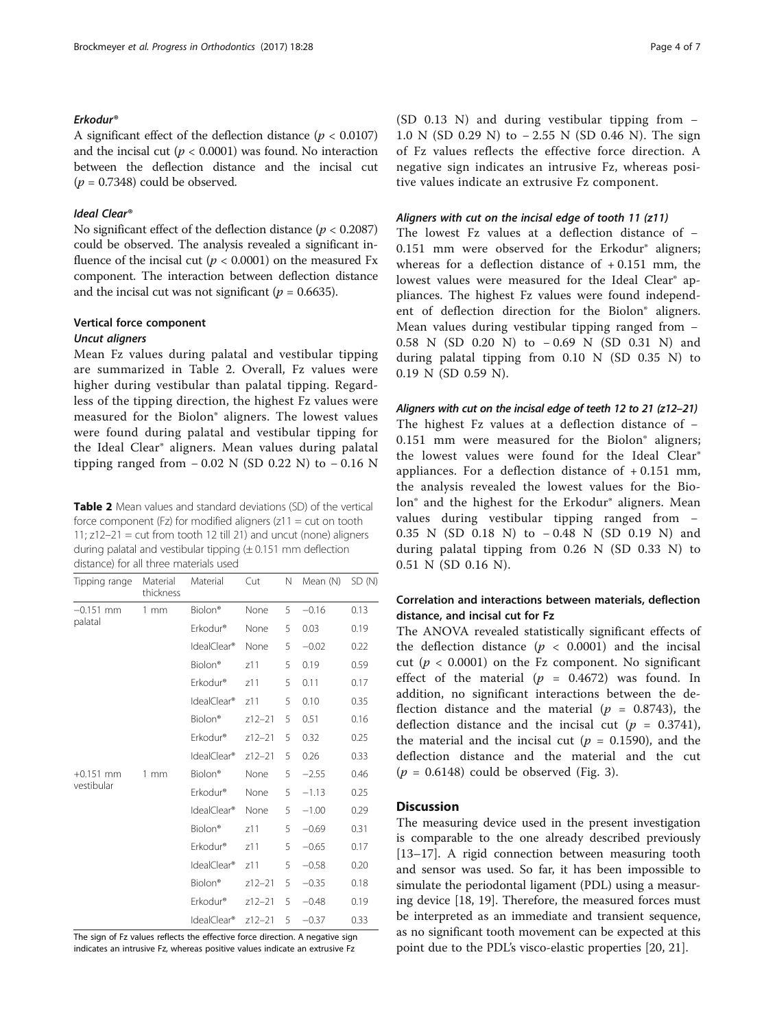### Erkodur®

A significant effect of the deflection distance ( $p < 0.0107$ ) and the incisal cut ( $p < 0.0001$ ) was found. No interaction between the deflection distance and the incisal cut  $(p = 0.7348)$  could be observed.

#### Ideal Clear®

No significant effect of the deflection distance ( $p < 0.2087$ ) could be observed. The analysis revealed a significant influence of the incisal cut ( $p < 0.0001$ ) on the measured Fx component. The interaction between deflection distance and the incisal cut was not significant ( $p = 0.6635$ ).

#### Vertical force component

#### Uncut aligners

Mean Fz values during palatal and vestibular tipping are summarized in Table 2. Overall, Fz values were higher during vestibular than palatal tipping. Regardless of the tipping direction, the highest Fz values were measured for the Biolon® aligners. The lowest values were found during palatal and vestibular tipping for the Ideal Clear® aligners. Mean values during palatal tipping ranged from  $-0.02$  N (SD 0.22 N) to  $-0.16$  N

Table 2 Mean values and standard deviations (SD) of the vertical force component (Fz) for modified aligners ( $z11 = cut$  on tooth 11;  $z12-21$  = cut from tooth 12 till 21) and uncut (none) aligners during palatal and vestibular tipping  $(\pm 0.151 \text{ mm})$  deflection distance) for all three materials used

| Tipping range             | Material<br>thickness | Material             | Cut        | N | Mean (N) | SD (N) |
|---------------------------|-----------------------|----------------------|------------|---|----------|--------|
| $-0.151$ mm<br>palatal    | $1 \text{ mm}$        | Biolon <sup>®</sup>  | None       | 5 | $-0.16$  | 0.13   |
|                           |                       | Erkodur®             | None       | 5 | 0.03     | 0.19   |
|                           |                       | IdealClear®          | None       | 5 | $-0.02$  | 0.22   |
|                           |                       | Biolon <sup>®</sup>  | z11        | 5 | 0.19     | 0.59   |
|                           |                       | Erkodur <sup>®</sup> | z11        | 5 | 0.11     | 0.17   |
|                           |                       | IdealClear®          | z11        | 5 | 0.10     | 0.35   |
|                           |                       | Biolon <sup>®</sup>  | $z12 - 21$ | 5 | 0.51     | 0.16   |
|                           |                       | Erkodur®             | $z12 - 21$ | 5 | 0.32     | 0.25   |
|                           |                       | IdealClear®          | $z12 - 21$ | 5 | 0.26     | 0.33   |
| $+0.151$ mm<br>vestibular | $1 \text{ mm}$        | Biolon <sup>®</sup>  | None       | 5 | $-2.55$  | 0.46   |
|                           |                       | Erkodur®             | None       | 5 | $-1.13$  | 0.25   |
|                           |                       | IdealClear®          | None       | 5 | $-1.00$  | 0.29   |
|                           |                       | Biolon <sup>®</sup>  | z11        | 5 | $-0.69$  | 0.31   |
|                           |                       | Erkodur®             | z11        | 5 | $-0.65$  | 0.17   |
|                           |                       | IdealClear®          | z11        | 5 | $-0.58$  | 0.20   |
|                           |                       | Biolon <sup>®</sup>  | $z12 - 21$ | 5 | $-0.35$  | 0.18   |
|                           |                       | Erkodur®             | $z12 - 21$ | 5 | $-0.48$  | 0.19   |
|                           |                       | IdealClear®          | $z12 - 21$ | 5 | $-0.37$  | 0.33   |

The sign of Fz values reflects the effective force direction. A negative sign indicates an intrusive Fz, whereas positive values indicate an extrusive Fz

(SD 0.13 N) and during vestibular tipping from − 1.0 N (SD 0.29 N) to − 2.55 N (SD 0.46 N). The sign of Fz values reflects the effective force direction. A negative sign indicates an intrusive Fz, whereas positive values indicate an extrusive Fz component.

#### Aligners with cut on the incisal edge of tooth 11 (z11)

The lowest Fz values at a deflection distance of − 0.151 mm were observed for the Erkodur<sup>®</sup> aligners; whereas for a deflection distance of  $+0.151$  mm, the lowest values were measured for the Ideal Clear<sup>®</sup> appliances. The highest Fz values were found independent of deflection direction for the Biolon® aligners. Mean values during vestibular tipping ranged from − 0.58 N (SD 0.20 N) to − 0.69 N (SD 0.31 N) and during palatal tipping from 0.10 N (SD 0.35 N) to 0.19 N (SD 0.59 N).

#### Aligners with cut on the incisal edge of teeth 12 to 21 (z12–21)

The highest Fz values at a deflection distance of − 0.151 mm were measured for the Biolon® aligners; the lowest values were found for the Ideal Clear® appliances. For a deflection distance of + 0.151 mm, the analysis revealed the lowest values for the Biolon® and the highest for the Erkodur® aligners. Mean values during vestibular tipping ranged from − 0.35 N (SD 0.18 N) to − 0.48 N (SD 0.19 N) and during palatal tipping from 0.26 N (SD 0.33 N) to 0.51 N (SD 0.16 N).

# Correlation and interactions between materials, deflection distance, and incisal cut for Fz

The ANOVA revealed statistically significant effects of the deflection distance  $(p < 0.0001)$  and the incisal cut ( $p < 0.0001$ ) on the Fz component. No significant effect of the material  $(p = 0.4672)$  was found. In addition, no significant interactions between the deflection distance and the material ( $p = 0.8743$ ), the deflection distance and the incisal cut ( $p = 0.3741$ ), the material and the incisal cut ( $p = 0.1590$ ), and the deflection distance and the material and the cut  $(p = 0.6148)$  could be observed (Fig. [3](#page-4-0)).

### **Discussion**

The measuring device used in the present investigation is comparable to the one already described previously [[13](#page-6-0)–[17](#page-6-0)]. A rigid connection between measuring tooth and sensor was used. So far, it has been impossible to simulate the periodontal ligament (PDL) using a measuring device [[18](#page-6-0), [19\]](#page-6-0). Therefore, the measured forces must be interpreted as an immediate and transient sequence, as no significant tooth movement can be expected at this point due to the PDL's visco-elastic properties [\[20, 21\]](#page-6-0).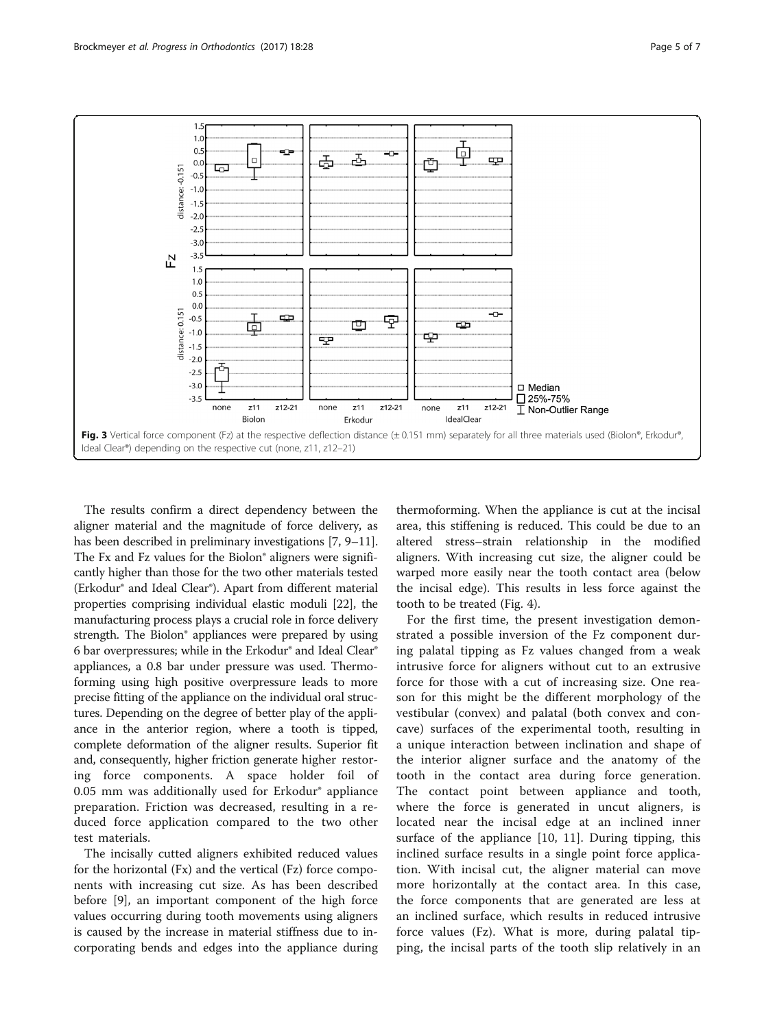<span id="page-4-0"></span>

The results confirm a direct dependency between the aligner material and the magnitude of force delivery, as has been described in preliminary investigations [\[7](#page-6-0), [9](#page-6-0)–[11](#page-6-0)]. The Fx and Fz values for the Biolon® aligners were significantly higher than those for the two other materials tested (Erkodur® and Ideal Clear®). Apart from different material properties comprising individual elastic moduli [[22](#page-6-0)], the manufacturing process plays a crucial role in force delivery strength. The Biolon® appliances were prepared by using 6 bar overpressures; while in the Erkodur® and Ideal Clear® appliances, a 0.8 bar under pressure was used. Thermoforming using high positive overpressure leads to more precise fitting of the appliance on the individual oral structures. Depending on the degree of better play of the appliance in the anterior region, where a tooth is tipped, complete deformation of the aligner results. Superior fit and, consequently, higher friction generate higher restoring force components. A space holder foil of 0.05 mm was additionally used for Erkodur® appliance preparation. Friction was decreased, resulting in a reduced force application compared to the two other test materials.

The incisally cutted aligners exhibited reduced values for the horizontal (Fx) and the vertical (Fz) force components with increasing cut size. As has been described before [\[9](#page-6-0)], an important component of the high force values occurring during tooth movements using aligners is caused by the increase in material stiffness due to incorporating bends and edges into the appliance during

thermoforming. When the appliance is cut at the incisal area, this stiffening is reduced. This could be due to an altered stress–strain relationship in the modified aligners. With increasing cut size, the aligner could be warped more easily near the tooth contact area (below the incisal edge). This results in less force against the tooth to be treated (Fig. [4](#page-5-0)).

For the first time, the present investigation demonstrated a possible inversion of the Fz component during palatal tipping as Fz values changed from a weak intrusive force for aligners without cut to an extrusive force for those with a cut of increasing size. One reason for this might be the different morphology of the vestibular (convex) and palatal (both convex and concave) surfaces of the experimental tooth, resulting in a unique interaction between inclination and shape of the interior aligner surface and the anatomy of the tooth in the contact area during force generation. The contact point between appliance and tooth, where the force is generated in uncut aligners, is located near the incisal edge at an inclined inner surface of the appliance [\[10](#page-6-0), [11](#page-6-0)]. During tipping, this inclined surface results in a single point force application. With incisal cut, the aligner material can move more horizontally at the contact area. In this case, the force components that are generated are less at an inclined surface, which results in reduced intrusive force values (Fz). What is more, during palatal tipping, the incisal parts of the tooth slip relatively in an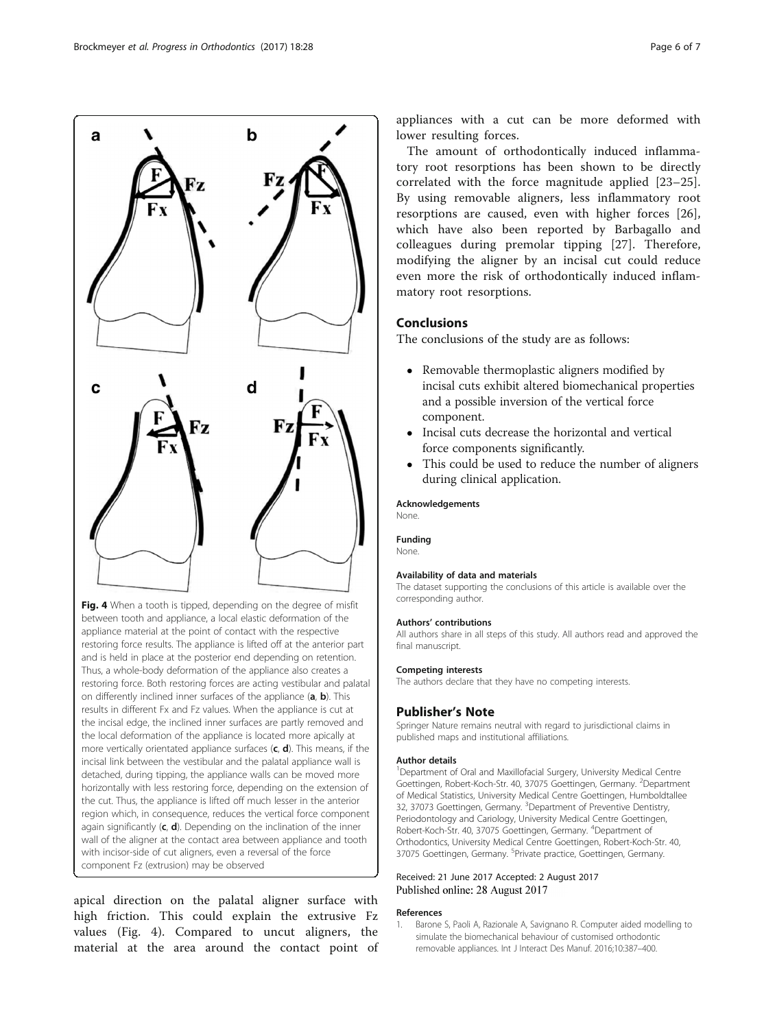<span id="page-5-0"></span>

Fig. 4 When a tooth is tipped, depending on the degree of misfit between tooth and appliance, a local elastic deformation of the appliance material at the point of contact with the respective restoring force results. The appliance is lifted off at the anterior part and is held in place at the posterior end depending on retention. Thus, a whole-body deformation of the appliance also creates a restoring force. Both restoring forces are acting vestibular and palatal on differently inclined inner surfaces of the appliance (a, b). This results in different Fx and Fz values. When the appliance is cut at the incisal edge, the inclined inner surfaces are partly removed and the local deformation of the appliance is located more apically at more vertically orientated appliance surfaces  $(c, d)$ . This means, if the incisal link between the vestibular and the palatal appliance wall is detached, during tipping, the appliance walls can be moved more horizontally with less restoring force, depending on the extension of the cut. Thus, the appliance is lifted off much lesser in the anterior region which, in consequence, reduces the vertical force component again significantly  $(c, d)$ . Depending on the inclination of the inner wall of the aligner at the contact area between appliance and tooth with incisor-side of cut aligners, even a reversal of the force component Fz (extrusion) may be observed

apical direction on the palatal aligner surface with high friction. This could explain the extrusive Fz values (Fig. 4). Compared to uncut aligners, the material at the area around the contact point of

appliances with a cut can be more deformed with lower resulting forces.

The amount of orthodontically induced inflammatory root resorptions has been shown to be directly correlated with the force magnitude applied [\[23](#page-6-0)–[25](#page-6-0)]. By using removable aligners, less inflammatory root resorptions are caused, even with higher forces [\[26](#page-6-0)], which have also been reported by Barbagallo and colleagues during premolar tipping [[27\]](#page-6-0). Therefore, modifying the aligner by an incisal cut could reduce even more the risk of orthodontically induced inflammatory root resorptions.

### **Conclusions**

The conclusions of the study are as follows:

- Removable thermoplastic aligners modified by incisal cuts exhibit altered biomechanical properties and a possible inversion of the vertical force component.
- Incisal cuts decrease the horizontal and vertical force components significantly.
- This could be used to reduce the number of aligners during clinical application.

#### Acknowledgements None.

#### Funding None.

#### Availability of data and materials

The dataset supporting the conclusions of this article is available over the corresponding author.

#### Authors' contributions

All authors share in all steps of this study. All authors read and approved the final manuscript.

#### Competing interests

The authors declare that they have no competing interests.

#### Publisher's Note

Springer Nature remains neutral with regard to jurisdictional claims in published maps and institutional affiliations.

#### Author details

<sup>1</sup>Department of Oral and Maxillofacial Surgery, University Medical Centre Goettingen, Robert-Koch-Str. 40, 37075 Goettingen, Germany. <sup>2</sup>Department of Medical Statistics, University Medical Centre Goettingen, Humboldtallee 32, 37073 Goettingen, Germany. <sup>3</sup>Department of Preventive Dentistry, Periodontology and Cariology, University Medical Centre Goettingen, Robert-Koch-Str. 40, 37075 Goettingen, Germany. <sup>4</sup> Department of Orthodontics, University Medical Centre Goettingen, Robert-Koch-Str. 40, 37075 Goettingen, Germany. <sup>5</sup>Private practice, Goettingen, Germany.

#### Received: 21 June 2017 Accepted: 2 August 2017 Published online: 28 August 2017

#### References

1. Barone S, Paoli A, Razionale A, Savignano R. Computer aided modelling to simulate the biomechanical behaviour of customised orthodontic removable appliances. Int J Interact Des Manuf. 2016;10:387–400.